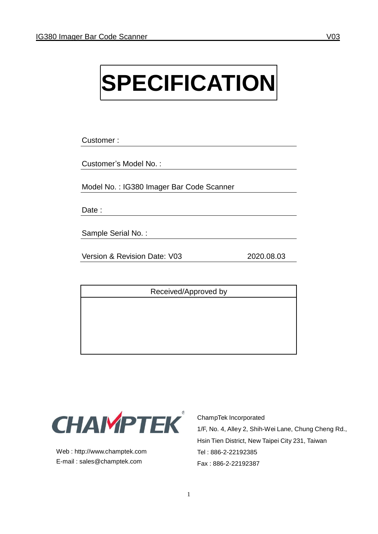# **SPECIFICATION**

Customer :

Customer's Model No. :

Model No. : IG380 Imager Bar Code Scanner

Date :

Sample Serial No. :

Version & Revision Date: V03 2020.08.03

Received/Approved by



Web : [http://www.champtek.com](http://www.champtek.com/) E-mail : [sales@champtek.com](mailto:sales@champtek.com)

ChampTek Incorporated 1/F, No. 4, Alley 2, Shih-Wei Lane, Chung Cheng Rd., Hsin Tien District, New Taipei City 231, Taiwan Tel : 886-2-22192385 Fax : 886-2-22192387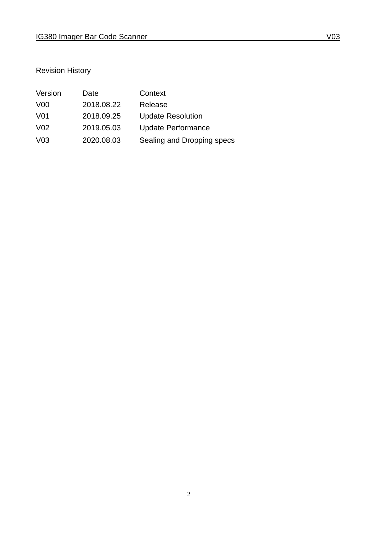## Revision History

| Version          | Date       | Context                    |
|------------------|------------|----------------------------|
| V <sub>0</sub>   | 2018.08.22 | Release                    |
| V <sub>0</sub> 1 | 2018.09.25 | <b>Update Resolution</b>   |
| V <sub>02</sub>  | 2019.05.03 | <b>Update Performance</b>  |
| V <sub>03</sub>  | 2020.08.03 | Sealing and Dropping specs |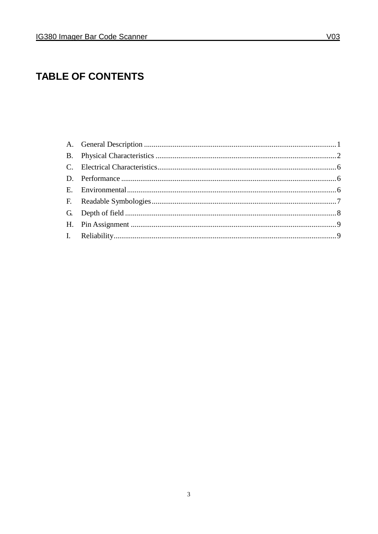# **TABLE OF CONTENTS**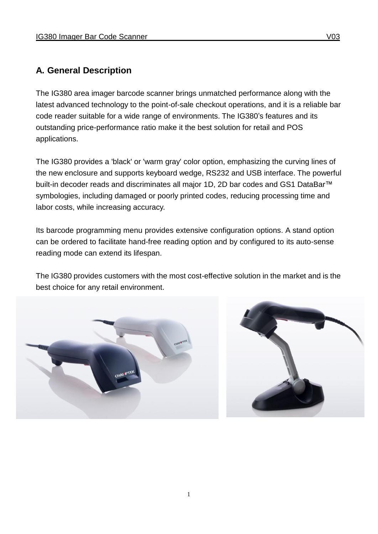#### **A. General Description**

The IG380 area imager barcode scanner brings unmatched performance along with the latest advanced technology to the point-of-sale checkout operations, and it is a reliable bar code reader suitable for a wide range of environments. The IG380's features and its outstanding price-performance ratio make it the best solution for retail and POS applications.

The IG380 provides a 'black' or 'warm gray' color option, emphasizing the curving lines of the new enclosure and supports keyboard wedge, RS232 and USB interface. The powerful built-in decoder reads and discriminates all major 1D, 2D bar codes and GS1 DataBar<sup>™</sup> symbologies, including damaged or poorly printed codes, reducing processing time and labor costs, while increasing accuracy.

Its barcode programming menu provides extensive configuration options. A stand option can be ordered to facilitate hand-free reading option and by configured to its auto-sense reading mode can extend its lifespan.

The IG380 provides customers with the most cost-effective solution in the market and is the best choice for any retail environment.



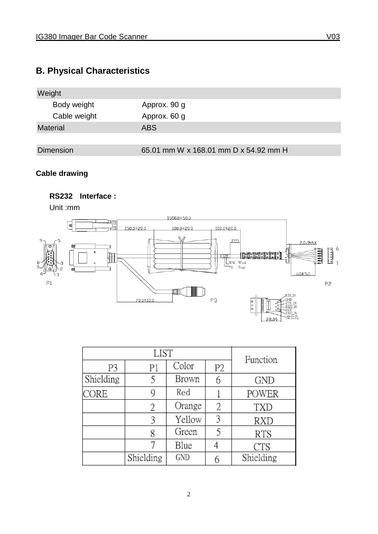## **B. Physical Characteristics**



#### **Cable drawing**

#### **RS232 Interface :**

Unit :mm



| LIST      |           |        | Function |            |
|-----------|-----------|--------|----------|------------|
| P3        | P1        | Color  | Р2       |            |
| Shielding |           | Brown  |          | <b>GND</b> |
| CORE      | 9         | Red    |          | POWER      |
|           | 2         | Orange | 2        | TXD        |
|           |           | Yellow |          | RXD        |
|           |           | Green  |          | <b>RTS</b> |
|           |           | Blue   |          | CTS        |
|           | Shielding | GND    |          | Shielding  |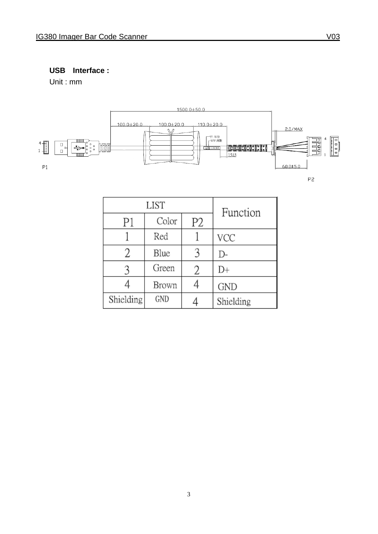#### **USB Interface :**

Unit : mm



P<sub>2</sub>

| <b>LIST</b> |       |    | Function   |
|-------------|-------|----|------------|
| P1          | Color | P2 |            |
|             | Red   |    | VCC        |
|             | Blue  |    | D-         |
|             | Green | 2  | D+         |
|             | Brown |    | <b>GND</b> |
| Shielding   | GND   |    | Shielding  |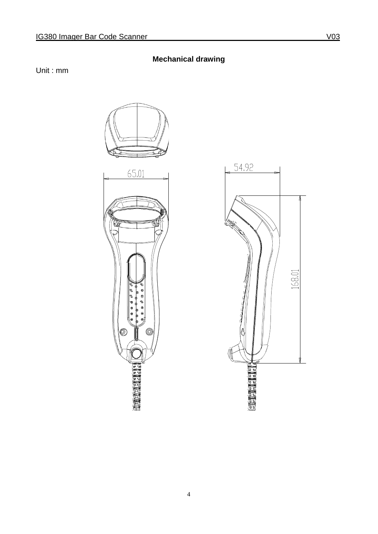## **Mechanical drawing**

Unit : mm



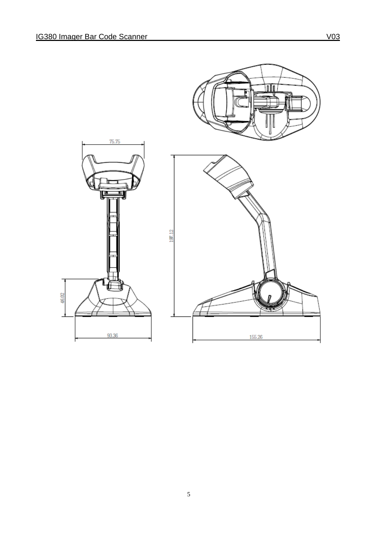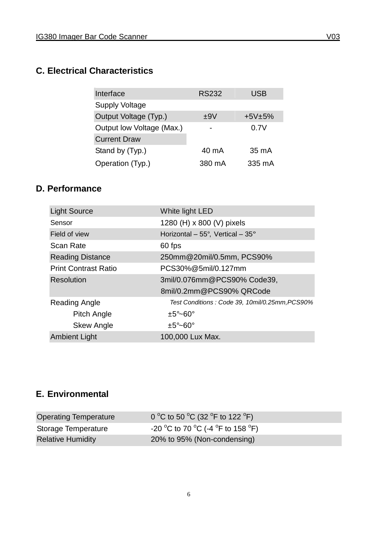## **C. Electrical Characteristics**

| Interface                 | <b>RS232</b> | USB      |
|---------------------------|--------------|----------|
| <b>Supply Voltage</b>     |              |          |
| Output Voltage (Typ.)     | ±9V          | $+5V±5%$ |
| Output low Voltage (Max.) |              | 0.7V     |
| <b>Current Draw</b>       |              |          |
| Stand by (Typ.)           | 40 mA        | 35 mA    |
| Operation (Typ.)          | 380 mA       | 335 mA   |

#### **D. Performance**

| <b>Light Source</b>         | White light LED                                 |
|-----------------------------|-------------------------------------------------|
| Sensor                      | 1280 (H) x 800 (V) pixels                       |
| Field of view               | Horizontal - $55^\circ$ , Vertical - $35^\circ$ |
| <b>Scan Rate</b>            | 60 fps                                          |
| <b>Reading Distance</b>     | 250mm@20mil/0.5mm, PCS90%                       |
| <b>Print Contrast Ratio</b> | PCS30%@5mil/0.127mm                             |
| Resolution                  | 3mil/0.076mm@PCS90% Code39,                     |
|                             | 8mil/0.2mm@PCS90% QRCode                        |
| Reading Angle               | Test Conditions: Code 39, 10mil/0.25mm, PCS90%  |
| Pitch Angle                 | $\pm 5^{\circ}$ $\sim$ 60 $^{\circ}$            |
| <b>Skew Angle</b>           | $±5^{\circ}$ ~60°                               |
| <b>Ambient Light</b>        | 100,000 Lux Max.                                |

# **E. Environmental**

| Operating Temperature    | 0 °C to 50 °C (32 °F to 122 °F)   |
|--------------------------|-----------------------------------|
| Storage Temperature      | -20 °C to 70 °C (-4 °F to 158 °F) |
| <b>Relative Humidity</b> | 20% to 95% (Non-condensing)       |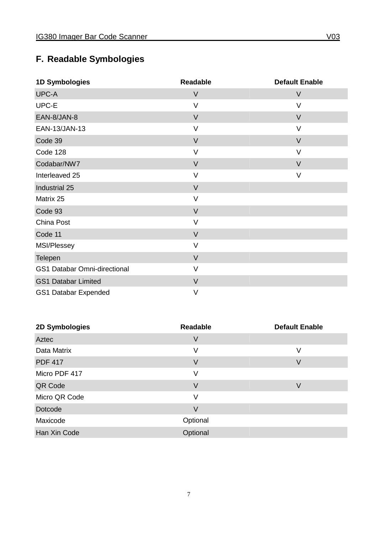# **F. Readable Symbologies**

| 1D Symbologies                      | <b>Readable</b> | <b>Default Enable</b> |
|-------------------------------------|-----------------|-----------------------|
| UPC-A                               | $\vee$          | $\vee$                |
| UPC-E                               | $\vee$          | $\vee$                |
| EAN-8/JAN-8                         | $\vee$          | $\vee$                |
| EAN-13/JAN-13                       | $\vee$          | $\vee$                |
| Code 39                             | $\vee$          | $\vee$                |
| Code 128                            | $\vee$          | $\vee$                |
| Codabar/NW7                         | $\vee$          | $\vee$                |
| Interleaved 25                      | $\vee$          | $\vee$                |
| Industrial 25                       | $\vee$          |                       |
| Matrix 25                           | $\sf V$         |                       |
| Code 93                             | $\vee$          |                       |
| China Post                          | $\vee$          |                       |
| Code 11                             | $\vee$          |                       |
| MSI/Plessey                         | $\vee$          |                       |
| Telepen                             | $\vee$          |                       |
| <b>GS1 Databar Omni-directional</b> | $\vee$          |                       |
| <b>GS1 Databar Limited</b>          | $\vee$          |                       |
| <b>GS1 Databar Expended</b>         | $\vee$          |                       |

| 2D Symbologies | <b>Readable</b> | <b>Default Enable</b> |
|----------------|-----------------|-----------------------|
| Aztec          | V               |                       |
| Data Matrix    | ٧               | V                     |
| <b>PDF 417</b> | V               | V                     |
| Micro PDF 417  | ٧               |                       |
| QR Code        | V               | $\vee$                |
| Micro QR Code  | ٧               |                       |
| Dotcode        | V               |                       |
| Maxicode       | Optional        |                       |
| Han Xin Code   | Optional        |                       |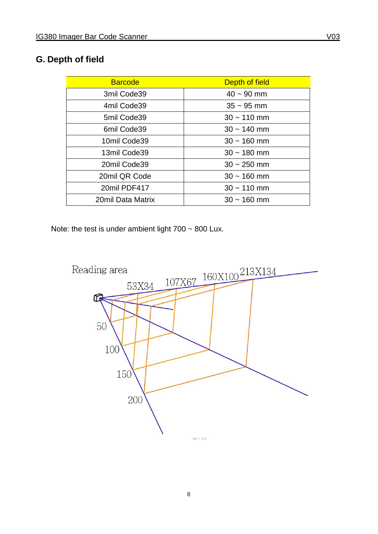# **G. Depth of field**

| <b>Barcode</b>    | Depth of field  |
|-------------------|-----------------|
| 3mil Code39       | $40 \sim 90$ mm |
| 4mil Code39       | $35 \sim 95$ mm |
| 5mil Code39       | $30 - 110$ mm   |
| 6mil Code39       | $30 - 140$ mm   |
| 10mil Code39      | $30 - 160$ mm   |
| 13mil Code39      | $30 - 180$ mm   |
| 20mil Code39      | $30 - 250$ mm   |
| 20mil QR Code     | $30 - 160$ mm   |
| 20mil PDF417      | $30 - 110$ mm   |
| 20mil Data Matrix | $30 - 160$ mm   |

Note: the test is under ambient light  $700 \sim 800$  Lux.